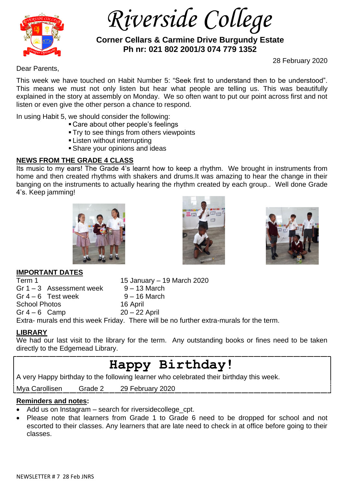

 *Riverside College*

 **Corner Cellars & Carmine Drive Burgundy Estate Ph nr: 021 802 2001/3 074 779 1352**

28 February 2020

Dear Parents,

This week we have touched on Habit Number 5: "Seek first to understand then to be understood". This means we must not only listen but hear what people are telling us. This was beautifully explained in the story at assembly on Monday. We so often want to put our point across first and not listen or even give the other person a chance to respond.

In using Habit 5, we should consider the following:

- Care about other people's feelings
- **Try to see things from others viewpoints**
- **Example 1** Listen without interrupting
- **Share your opinions and ideas**

# **NEWS FROM THE GRADE 4 CLASS**

Its music to my ears! The Grade 4's learnt how to keep a rhythm. We brought in instruments from home and then created rhythms with shakers and drums.It was amazing to hear the change in their banging on the instruments to actually hearing the rhythm created by each group.. Well done Grade 4's. Keep jamming!







# **IMPORTANT DATES**

| Term 1                     | 15 January – 19 March 2020                                                              |  |
|----------------------------|-----------------------------------------------------------------------------------------|--|
| Gr $1 - 3$ Assessment week | $9 - 13$ March                                                                          |  |
| Gr $4-6$ Test week         | $9 - 16$ March                                                                          |  |
| <b>School Photos</b>       | 16 April                                                                                |  |
| Gr $4-6$ Camp              | $20 - 22$ April                                                                         |  |
|                            | Extra- murals end this week Friday. There will be no further extra-murals for the term. |  |

# **LIBRARY**

We had our last visit to the library for the term. Any outstanding books or fines need to be taken directly to the Edgemead Library.

# **Happy Birthday!**

A very Happy birthday to the following learner who celebrated their birthday this week.

Mya Carollisen Grade 2 29 February 2020

# **Reminders and notes:**

- Add us on Instagram search for riversidecollege cpt.
- Please note that learners from Grade 1 to Grade 6 need to be dropped for school and not escorted to their classes. Any learners that are late need to check in at office before going to their classes.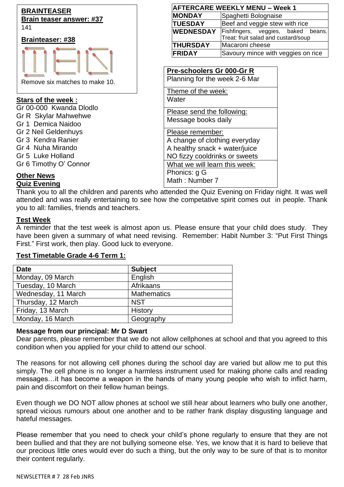

| <b>AFTERCARE WEEKLY MENU – Week 1</b> |                                     |  |  |
|---------------------------------------|-------------------------------------|--|--|
| <b>MONDAY</b>                         | Spaghetti Bolognaise                |  |  |
| <b>TUESDAY</b>                        | Beef and veggie stew with rice      |  |  |
| <b>WEDNESDAY</b>                      | Fishfingers, veggies, baked beans.  |  |  |
|                                       | Treat: fruit salad and custard/soup |  |  |
| <b>THURSDAY</b>                       | Macaroni cheese                     |  |  |
| <b>FRIDAY</b>                         | Savoury mince with veggies on rice  |  |  |

# **Pre-schoolers Gr 000-Gr R**

Planning for the week 2-6 Mar

Theme of the week: **Water** 

Please send the following: Message books daily

Please remember: A change of clothing everyday A healthy snack + water/juice NO fizzy cooldrinks or sweets What we will learn this week: Phonics: g G Math : Number 7

# **Other News**

**Quiz Evening**

Thank you to all the children and parents who attended the Quiz Evening on Friday night. It was well attended and was really entertaining to see how the competative spirit comes out in people. Thank you to all: families, friends and teachers.

# **Test Week**

A reminder that the test week is almost apon us. Please ensure that your child does study. They have been given a summary of what need revising. Remember: Habit Number 3: "Put First Things First." First work, then play. Good luck to everyone.

| <b>Date</b>         | <b>Subject</b>     |
|---------------------|--------------------|
| Monday, 09 March    | English            |
| Tuesday, 10 March   | Afrikaans          |
| Wednesday, 11 March | <b>Mathematics</b> |
| Thursday, 12 March  | <b>NST</b>         |
| Friday, 13 March    | History            |
| Monday, 16 March    | Geography          |

# **Test Timetable Grade 4-6 Term 1:**

#### **Message from our principal: Mr D Swart**

Dear parents, please remember that we do not allow cellphones at school and that you agreed to this condition when you applied for your child to attend our school.

The reasons for not allowing cell phones during the school day are varied but allow me to put this simply. The cell phone is no longer a harmless instrument used for making phone calls and reading messages…it has become a weapon in the hands of many young people who wish to inflict harm, pain and discomfort on their fellow human beings.

Even though we DO NOT allow phones at school we still hear about learners who bully one another, spread vicious rumours about one another and to be rather frank display disgusting language and hateful messages.

Please remember that you need to check your child's phone regularly to ensure that they are not been bullied and that they are not bullying someone else. Yes, we know that it is hard to believe that our precious little ones would ever do such a thing, but the only way to be sure of that is to monitor their content regularly.